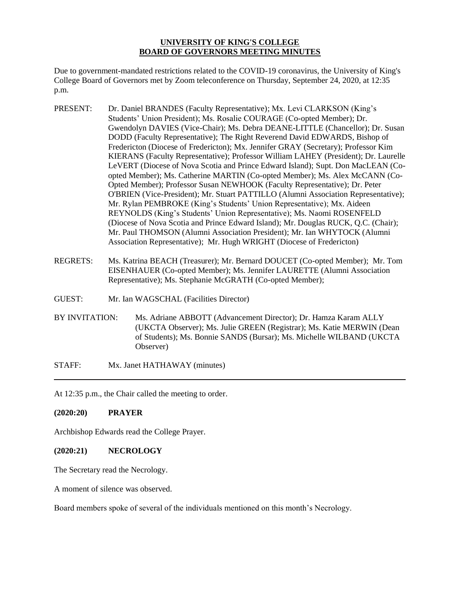## **UNIVERSITY OF KING'S COLLEGE BOARD OF GOVERNORS MEETING MINUTES**

Due to government-mandated restrictions related to the COVID-19 coronavirus, the University of King's College Board of Governors met by Zoom teleconference on Thursday, September 24, 2020, at 12:35 p.m.

- PRESENT: Dr. Daniel BRANDES (Faculty Representative); Mx. Levi CLARKSON (King's Students' Union President); Ms. Rosalie COURAGE (Co-opted Member); Dr. Gwendolyn DAVIES (Vice-Chair); Ms. Debra DEANE-LITTLE (Chancellor); Dr. Susan DODD (Faculty Representative); The Right Reverend David EDWARDS, Bishop of Fredericton (Diocese of Fredericton); Mx. Jennifer GRAY (Secretary); Professor Kim KIERANS (Faculty Representative); Professor William LAHEY (President); Dr. Laurelle LeVERT (Diocese of Nova Scotia and Prince Edward Island); Supt. Don MacLEAN (Coopted Member); Ms. Catherine MARTIN (Co-opted Member); Ms. Alex McCANN (Co-Opted Member); Professor Susan NEWHOOK (Faculty Representative); Dr. Peter O'BRIEN (Vice-President); Mr. Stuart PATTILLO (Alumni Association Representative); Mr. Rylan PEMBROKE (King's Students' Union Representative); Mx. Aideen REYNOLDS (King's Students' Union Representative); Ms. Naomi ROSENFELD (Diocese of Nova Scotia and Prince Edward Island); Mr. Douglas RUCK, Q.C. (Chair); Mr. Paul THOMSON (Alumni Association President); Mr. Ian WHYTOCK (Alumni Association Representative); Mr. Hugh WRIGHT (Diocese of Fredericton)
- REGRETS: Ms. Katrina BEACH (Treasurer); Mr. Bernard DOUCET (Co-opted Member); Mr. Tom EISENHAUER (Co-opted Member); Ms. Jennifer LAURETTE (Alumni Association Representative); Ms. Stephanie McGRATH (Co-opted Member);
- GUEST: Mr. Ian WAGSCHAL (Facilities Director)
- BY INVITATION: Ms. Adriane ABBOTT (Advancement Director); Dr. Hamza Karam ALLY (UKCTA Observer); Ms. Julie GREEN (Registrar); Ms. Katie MERWIN (Dean of Students); Ms. Bonnie SANDS (Bursar); Ms. Michelle WILBAND (UKCTA Observer)

STAFF: Mx. Janet HATHAWAY (minutes)

At 12:35 p.m., the Chair called the meeting to order.

## **(2020:20) PRAYER**

Archbishop Edwards read the College Prayer.

## **(2020:21) NECROLOGY**

The Secretary read the Necrology.

A moment of silence was observed.

Board members spoke of several of the individuals mentioned on this month's Necrology.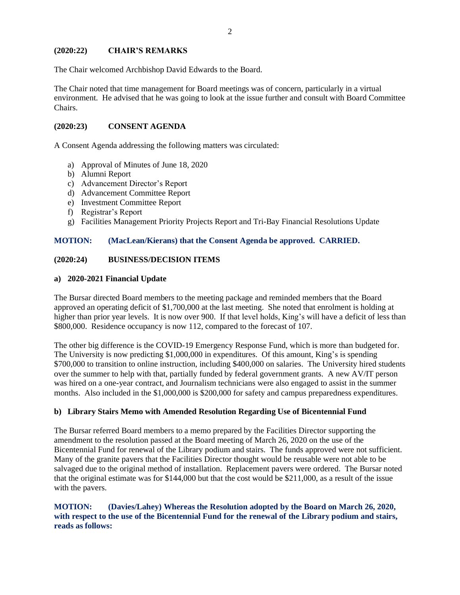## **(2020:22) CHAIR'S REMARKS**

The Chair welcomed Archbishop David Edwards to the Board.

The Chair noted that time management for Board meetings was of concern, particularly in a virtual environment. He advised that he was going to look at the issue further and consult with Board Committee Chairs.

## **(2020:23) CONSENT AGENDA**

A Consent Agenda addressing the following matters was circulated:

- a) Approval of Minutes of June 18, 2020
- b) Alumni Report
- c) Advancement Director's Report
- d) Advancement Committee Report
- e) Investment Committee Report
- f) Registrar's Report
- g) Facilities Management Priority Projects Report and Tri-Bay Financial Resolutions Update

## **MOTION: (MacLean/Kierans) that the Consent Agenda be approved. CARRIED.**

## **(2020:24) BUSINESS/DECISION ITEMS**

#### **a) 2020-2021 Financial Update**

The Bursar directed Board members to the meeting package and reminded members that the Board approved an operating deficit of \$1,700,000 at the last meeting. She noted that enrolment is holding at higher than prior year levels. It is now over 900. If that level holds, King's will have a deficit of less than \$800,000. Residence occupancy is now 112, compared to the forecast of 107.

The other big difference is the COVID-19 Emergency Response Fund, which is more than budgeted for. The University is now predicting \$1,000,000 in expenditures. Of this amount, King's is spending \$700,000 to transition to online instruction, including \$400,000 on salaries. The University hired students over the summer to help with that, partially funded by federal government grants. A new AV/IT person was hired on a one-year contract, and Journalism technicians were also engaged to assist in the summer months. Also included in the \$1,000,000 is \$200,000 for safety and campus preparedness expenditures.

#### **b) Library Stairs Memo with Amended Resolution Regarding Use of Bicentennial Fund**

The Bursar referred Board members to a memo prepared by the Facilities Director supporting the amendment to the resolution passed at the Board meeting of March 26, 2020 on the use of the Bicentennial Fund for renewal of the Library podium and stairs. The funds approved were not sufficient. Many of the granite pavers that the Facilities Director thought would be reusable were not able to be salvaged due to the original method of installation. Replacement pavers were ordered. The Bursar noted that the original estimate was for \$144,000 but that the cost would be \$211,000, as a result of the issue with the pavers.

## **MOTION: (Davies/Lahey) Whereas the Resolution adopted by the Board on March 26, 2020, with respect to the use of the Bicentennial Fund for the renewal of the Library podium and stairs, reads as follows:**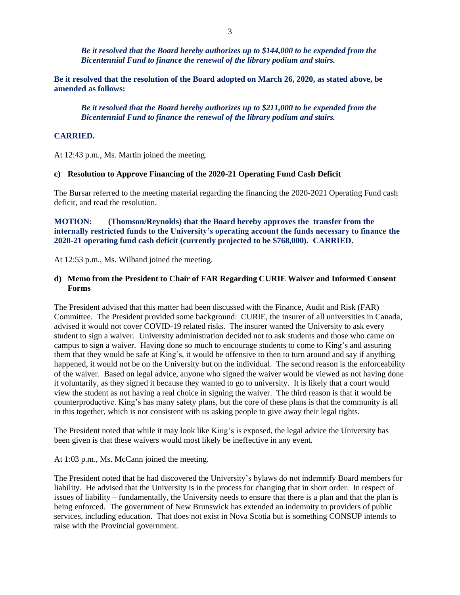*Be it resolved that the Board hereby authorizes up to \$144,000 to be expended from the Bicentennial Fund to finance the renewal of the library podium and stairs.*

**Be it resolved that the resolution of the Board adopted on March 26, 2020, as stated above, be amended as follows:**

*Be it resolved that the Board hereby authorizes up to \$211,000 to be expended from the Bicentennial Fund to finance the renewal of the library podium and stairs.*

#### **CARRIED.**

At 12:43 p.m., Ms. Martin joined the meeting.

## **c) Resolution to Approve Financing of the 2020-21 Operating Fund Cash Deficit**

The Bursar referred to the meeting material regarding the financing the 2020-2021 Operating Fund cash deficit, and read the resolution.

**MOTION: (Thomson/Reynolds) that the Board hereby approves the transfer from the internally restricted funds to the University's operating account the funds necessary to finance the 2020-21 operating fund cash deficit (currently projected to be \$768,000).****CARRIED.** 

At 12:53 p.m., Ms. Wilband joined the meeting.

## **d) Memo from the President to Chair of FAR Regarding CURIE Waiver and Informed Consent Forms**

The President advised that this matter had been discussed with the Finance, Audit and Risk (FAR) Committee. The President provided some background: CURIE, the insurer of all universities in Canada, advised it would not cover COVID-19 related risks. The insurer wanted the University to ask every student to sign a waiver. University administration decided not to ask students and those who came on campus to sign a waiver. Having done so much to encourage students to come to King's and assuring them that they would be safe at King's, it would be offensive to then to turn around and say if anything happened, it would not be on the University but on the individual. The second reason is the enforceability of the waiver. Based on legal advice, anyone who signed the waiver would be viewed as not having done it voluntarily, as they signed it because they wanted to go to university. It is likely that a court would view the student as not having a real choice in signing the waiver. The third reason is that it would be counterproductive. King's has many safety plans, but the core of these plans is that the community is all in this together, which is not consistent with us asking people to give away their legal rights.

The President noted that while it may look like King's is exposed, the legal advice the University has been given is that these waivers would most likely be ineffective in any event.

At 1:03 p.m., Ms. McCann joined the meeting.

The President noted that he had discovered the University's bylaws do not indemnify Board members for liability. He advised that the University is in the process for changing that in short order. In respect of issues of liability – fundamentally, the University needs to ensure that there is a plan and that the plan is being enforced. The government of New Brunswick has extended an indemnity to providers of public services, including education. That does not exist in Nova Scotia but is something CONSUP intends to raise with the Provincial government.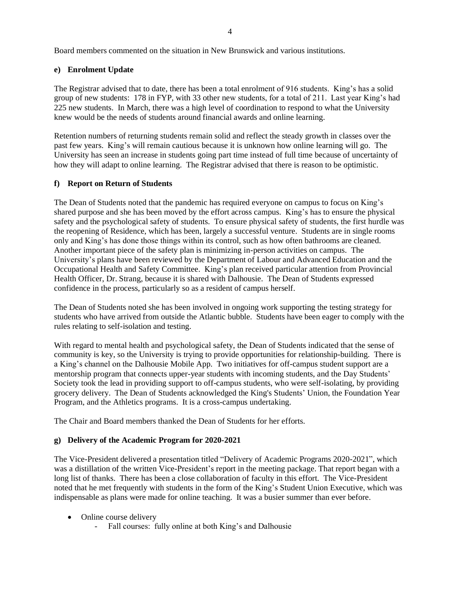Board members commented on the situation in New Brunswick and various institutions.

## **e) Enrolment Update**

The Registrar advised that to date, there has been a total enrolment of 916 students. King's has a solid group of new students: 178 in FYP, with 33 other new students, for a total of 211. Last year King's had 225 new students. In March, there was a high level of coordination to respond to what the University knew would be the needs of students around financial awards and online learning.

Retention numbers of returning students remain solid and reflect the steady growth in classes over the past few years. King's will remain cautious because it is unknown how online learning will go. The University has seen an increase in students going part time instead of full time because of uncertainty of how they will adapt to online learning. The Registrar advised that there is reason to be optimistic.

## **f) Report on Return of Students**

The Dean of Students noted that the pandemic has required everyone on campus to focus on King's shared purpose and she has been moved by the effort across campus. King's has to ensure the physical safety and the psychological safety of students. To ensure physical safety of students, the first hurdle was the reopening of Residence, which has been, largely a successful venture. Students are in single rooms only and King's has done those things within its control, such as how often bathrooms are cleaned. Another important piece of the safety plan is minimizing in-person activities on campus. The University's plans have been reviewed by the Department of Labour and Advanced Education and the Occupational Health and Safety Committee. King's plan received particular attention from Provincial Health Officer, Dr. Strang, because it is shared with Dalhousie. The Dean of Students expressed confidence in the process, particularly so as a resident of campus herself.

The Dean of Students noted she has been involved in ongoing work supporting the testing strategy for students who have arrived from outside the Atlantic bubble. Students have been eager to comply with the rules relating to self-isolation and testing.

With regard to mental health and psychological safety, the Dean of Students indicated that the sense of community is key, so the University is trying to provide opportunities for relationship-building. There is a King's channel on the Dalhousie Mobile App. Two initiatives for off-campus student support are a mentorship program that connects upper-year students with incoming students, and the Day Students' Society took the lead in providing support to off-campus students, who were self-isolating, by providing grocery delivery. The Dean of Students acknowledged the King's Students' Union, the Foundation Year Program, and the Athletics programs. It is a cross-campus undertaking.

The Chair and Board members thanked the Dean of Students for her efforts.

## **g) Delivery of the Academic Program for 2020-2021**

The Vice-President delivered a presentation titled "Delivery of Academic Programs 2020-2021", which was a distillation of the written Vice-President's report in the meeting package. That report began with a long list of thanks. There has been a close collaboration of faculty in this effort. The Vice-President noted that he met frequently with students in the form of the King's Student Union Executive, which was indispensable as plans were made for online teaching. It was a busier summer than ever before.

- Online course delivery
	- Fall courses: fully online at both King's and Dalhousie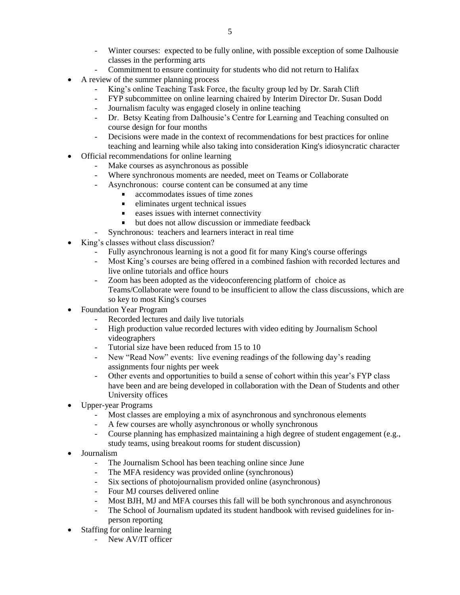- Winter courses: expected to be fully online, with possible exception of some Dalhousie classes in the performing arts
- Commitment to ensure continuity for students who did not return to Halifax
- A review of the summer planning process
	- King's online Teaching Task Force, the faculty group led by Dr. Sarah Clift
	- FYP subcommittee on online learning chaired by Interim Director Dr. Susan Dodd
	- Journalism faculty was engaged closely in online teaching
	- Dr. Betsy Keating from Dalhousie's Centre for Learning and Teaching consulted on course design for four months
	- Decisions were made in the context of recommendations for best practices for online teaching and learning while also taking into consideration King's idiosyncratic character
- Official recommendations for online learning
	- Make courses as asynchronous as possible
	- Where synchronous moments are needed, meet on Teams or Collaborate
	- Asynchronous: course content can be consumed at any time
		- accommodates issues of time zones
		- $\mathbf{r}$ eliminates urgent technical issues
		- **eases** issues with internet connectivity
		- but does not allow discussion or immediate feedback
		- Synchronous: teachers and learners interact in real time
- King's classes without class discussion?
	- Fully asynchronous learning is not a good fit for many King's course offerings
	- Most King's courses are being offered in a combined fashion with recorded lectures and live online tutorials and office hours
	- Zoom has been adopted as the videoconferencing platform of choice as Teams/Collaborate were found to be insufficient to allow the class discussions, which are so key to most King's courses
- Foundation Year Program
	- Recorded lectures and daily live tutorials
	- High production value recorded lectures with video editing by Journalism School videographers
	- Tutorial size have been reduced from 15 to 10<br>- New "Read Now" events: live evening reading
	- New "Read Now" events: live evening readings of the following day's reading assignments four nights per week
	- Other events and opportunities to build a sense of cohort within this year's FYP class have been and are being developed in collaboration with the Dean of Students and other University offices
- Upper-year Programs
	- Most classes are employing a mix of asynchronous and synchronous elements
	- A few courses are wholly asynchronous or wholly synchronous
	- Course planning has emphasized maintaining a high degree of student engagement (e.g., study teams, using breakout rooms for student discussion)
- Journalism
	- The Journalism School has been teaching online since June
	- The MFA residency was provided online (synchronous)
	- Six sections of photojournalism provided online (asynchronous)
	- Four MJ courses delivered online
	- Most BJH, MJ and MFA courses this fall will be both synchronous and asynchronous
	- The School of Journalism updated its student handbook with revised guidelines for inperson reporting
- Staffing for online learning
	- New AV/IT officer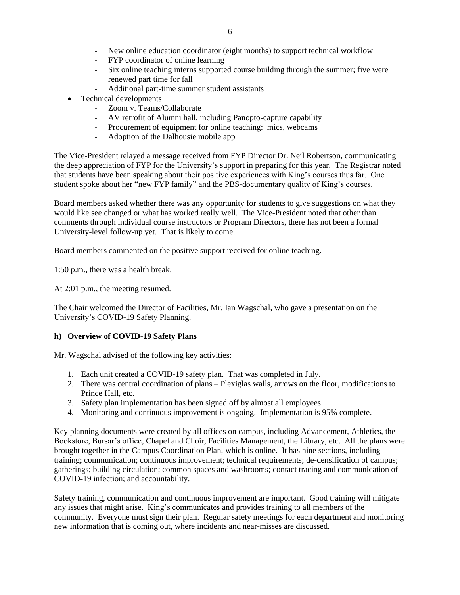- New online education coordinator (eight months) to support technical workflow<br>- FYP coordinator of online learning
- FYP coordinator of online learning
- Six online teaching interns supported course building through the summer; five were renewed part time for fall
- Additional part-time summer student assistants
- Technical developments
	- Zoom v. Teams/Collaborate
	- AV retrofit of Alumni hall, including Panopto-capture capability
	- Procurement of equipment for online teaching: mics, webcams
	- Adoption of the Dalhousie mobile app

The Vice-President relayed a message received from FYP Director Dr. Neil Robertson, communicating the deep appreciation of FYP for the University's support in preparing for this year. The Registrar noted that students have been speaking about their positive experiences with King's courses thus far. One student spoke about her "new FYP family" and the PBS-documentary quality of King's courses.

Board members asked whether there was any opportunity for students to give suggestions on what they would like see changed or what has worked really well. The Vice-President noted that other than comments through individual course instructors or Program Directors, there has not been a formal University-level follow-up yet. That is likely to come.

Board members commented on the positive support received for online teaching.

1:50 p.m., there was a health break.

At 2:01 p.m., the meeting resumed.

The Chair welcomed the Director of Facilities, Mr. Ian Wagschal, who gave a presentation on the University's COVID-19 Safety Planning.

## **h) Overview of COVID-19 Safety Plans**

Mr. Wagschal advised of the following key activities:

- 1. Each unit created a COVID-19 safety plan. That was completed in July.
- 2. There was central coordination of plans Plexiglas walls, arrows on the floor, modifications to Prince Hall, etc.
- 3. Safety plan implementation has been signed off by almost all employees.
- 4. Monitoring and continuous improvement is ongoing. Implementation is 95% complete.

Key planning documents were created by all offices on campus, including Advancement, Athletics, the Bookstore, Bursar's office, Chapel and Choir, Facilities Management, the Library, etc. All the plans were brought together in the Campus Coordination Plan, which is online. It has nine sections, including training; communication; continuous improvement; technical requirements; de-densification of campus; gatherings; building circulation; common spaces and washrooms; contact tracing and communication of COVID-19 infection; and accountability.

Safety training, communication and continuous improvement are important. Good training will mitigate any issues that might arise. King's communicates and provides training to all members of the community. Everyone must sign their plan. Regular safety meetings for each department and monitoring new information that is coming out, where incidents and near-misses are discussed.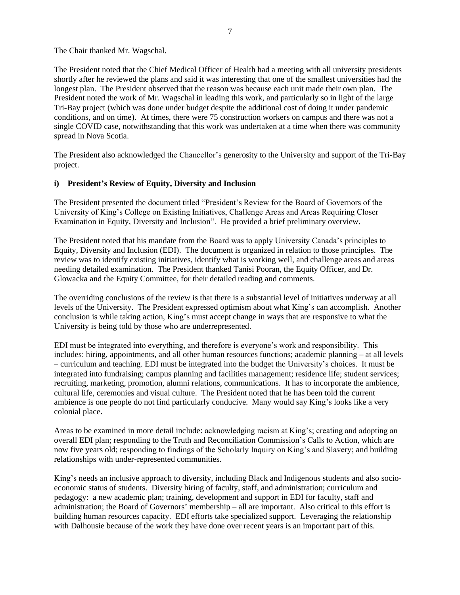The Chair thanked Mr. Wagschal.

The President noted that the Chief Medical Officer of Health had a meeting with all university presidents shortly after he reviewed the plans and said it was interesting that one of the smallest universities had the longest plan. The President observed that the reason was because each unit made their own plan. The President noted the work of Mr. Wagschal in leading this work, and particularly so in light of the large Tri-Bay project (which was done under budget despite the additional cost of doing it under pandemic conditions, and on time). At times, there were 75 construction workers on campus and there was not a single COVID case, notwithstanding that this work was undertaken at a time when there was community spread in Nova Scotia.

The President also acknowledged the Chancellor's generosity to the University and support of the Tri-Bay project.

## **i) President's Review of Equity, Diversity and Inclusion**

The President presented the document titled "President's Review for the Board of Governors of the University of King's College on Existing Initiatives, Challenge Areas and Areas Requiring Closer Examination in Equity, Diversity and Inclusion". He provided a brief preliminary overview.

The President noted that his mandate from the Board was to apply University Canada's principles to Equity, Diversity and Inclusion (EDI). The document is organized in relation to those principles. The review was to identify existing initiatives, identify what is working well, and challenge areas and areas needing detailed examination. The President thanked Tanisi Pooran, the Equity Officer, and Dr. Glowacka and the Equity Committee, for their detailed reading and comments.

The overriding conclusions of the review is that there is a substantial level of initiatives underway at all levels of the University. The President expressed optimism about what King's can accomplish. Another conclusion is while taking action, King's must accept change in ways that are responsive to what the University is being told by those who are underrepresented.

EDI must be integrated into everything, and therefore is everyone's work and responsibility. This includes: hiring, appointments, and all other human resources functions; academic planning – at all levels – curriculum and teaching. EDI must be integrated into the budget the University's choices. It must be integrated into fundraising; campus planning and facilities management; residence life; student services; recruiting, marketing, promotion, alumni relations, communications. It has to incorporate the ambience, cultural life, ceremonies and visual culture. The President noted that he has been told the current ambience is one people do not find particularly conducive. Many would say King's looks like a very colonial place.

Areas to be examined in more detail include: acknowledging racism at King's; creating and adopting an overall EDI plan; responding to the Truth and Reconciliation Commission's Calls to Action, which are now five years old; responding to findings of the Scholarly Inquiry on King's and Slavery; and building relationships with under-represented communities.

King's needs an inclusive approach to diversity, including Black and Indigenous students and also socioeconomic status of students. Diversity hiring of faculty, staff, and administration; curriculum and pedagogy: a new academic plan; training, development and support in EDI for faculty, staff and administration; the Board of Governors' membership – all are important. Also critical to this effort is building human resources capacity. EDI efforts take specialized support. Leveraging the relationship with Dalhousie because of the work they have done over recent years is an important part of this.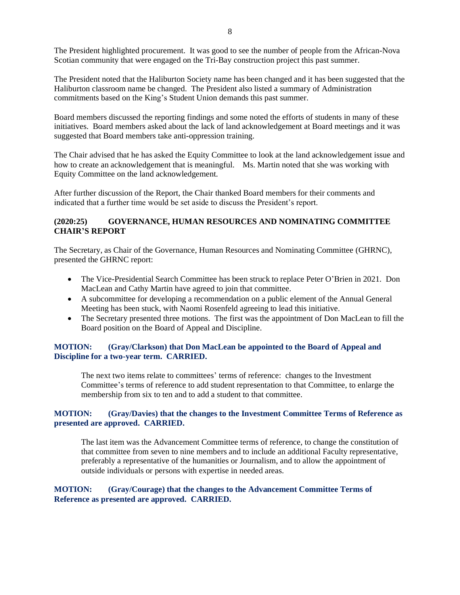The President highlighted procurement. It was good to see the number of people from the African-Nova Scotian community that were engaged on the Tri-Bay construction project this past summer.

The President noted that the Haliburton Society name has been changed and it has been suggested that the Haliburton classroom name be changed. The President also listed a summary of Administration commitments based on the King's Student Union demands this past summer.

Board members discussed the reporting findings and some noted the efforts of students in many of these initiatives. Board members asked about the lack of land acknowledgement at Board meetings and it was suggested that Board members take anti-oppression training.

The Chair advised that he has asked the Equity Committee to look at the land acknowledgement issue and how to create an acknowledgement that is meaningful. Ms. Martin noted that she was working with Equity Committee on the land acknowledgement.

After further discussion of the Report, the Chair thanked Board members for their comments and indicated that a further time would be set aside to discuss the President's report.

# **(2020:25) GOVERNANCE, HUMAN RESOURCES AND NOMINATING COMMITTEE CHAIR'S REPORT**

The Secretary, as Chair of the Governance, Human Resources and Nominating Committee (GHRNC), presented the GHRNC report:

- The Vice-Presidential Search Committee has been struck to replace Peter O'Brien in 2021. Don MacLean and Cathy Martin have agreed to join that committee.
- A subcommittee for developing a recommendation on a public element of the Annual General Meeting has been stuck, with Naomi Rosenfeld agreeing to lead this initiative.
- The Secretary presented three motions. The first was the appointment of Don MacLean to fill the Board position on the Board of Appeal and Discipline.

## **MOTION: (Gray/Clarkson) that Don MacLean be appointed to the Board of Appeal and Discipline for a two-year term. CARRIED.**

The next two items relate to committees' terms of reference: changes to the Investment Committee's terms of reference to add student representation to that Committee, to enlarge the membership from six to ten and to add a student to that committee.

## **MOTION: (Gray/Davies) that the changes to the Investment Committee Terms of Reference as presented are approved. CARRIED.**

The last item was the Advancement Committee terms of reference, to change the constitution of that committee from seven to nine members and to include an additional Faculty representative, preferably a representative of the humanities or Journalism, and to allow the appointment of outside individuals or persons with expertise in needed areas.

## **MOTION: (Gray/Courage) that the changes to the Advancement Committee Terms of Reference as presented are approved. CARRIED.**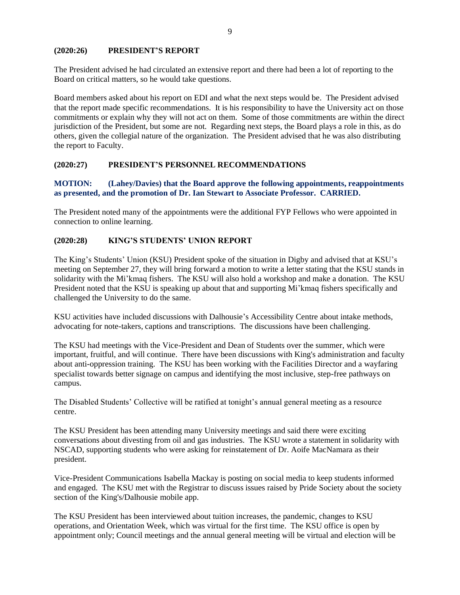## **(2020:26) PRESIDENT'S REPORT**

The President advised he had circulated an extensive report and there had been a lot of reporting to the Board on critical matters, so he would take questions.

Board members asked about his report on EDI and what the next steps would be. The President advised that the report made specific recommendations. It is his responsibility to have the University act on those commitments or explain why they will not act on them. Some of those commitments are within the direct jurisdiction of the President, but some are not. Regarding next steps, the Board plays a role in this, as do others, given the collegial nature of the organization. The President advised that he was also distributing the report to Faculty.

## **(2020:27) PRESIDENT'S PERSONNEL RECOMMENDATIONS**

## **MOTION: (Lahey/Davies) that the Board approve the following appointments, reappointments as presented, and the promotion of Dr. Ian Stewart to Associate Professor. CARRIED.**

The President noted many of the appointments were the additional FYP Fellows who were appointed in connection to online learning.

## **(2020:28) KING'S STUDENTS' UNION REPORT**

The King's Students' Union (KSU) President spoke of the situation in Digby and advised that at KSU's meeting on September 27, they will bring forward a motion to write a letter stating that the KSU stands in solidarity with the Mi'kmaq fishers. The KSU will also hold a workshop and make a donation. The KSU President noted that the KSU is speaking up about that and supporting Mi'kmaq fishers specifically and challenged the University to do the same.

KSU activities have included discussions with Dalhousie's Accessibility Centre about intake methods, advocating for note-takers, captions and transcriptions. The discussions have been challenging.

The KSU had meetings with the Vice-President and Dean of Students over the summer, which were important, fruitful, and will continue. There have been discussions with King's administration and faculty about anti-oppression training. The KSU has been working with the Facilities Director and a wayfaring specialist towards better signage on campus and identifying the most inclusive, step-free pathways on campus.

The Disabled Students' Collective will be ratified at tonight's annual general meeting as a resource centre.

The KSU President has been attending many University meetings and said there were exciting conversations about divesting from oil and gas industries. The KSU wrote a statement in solidarity with NSCAD, supporting students who were asking for reinstatement of Dr. Aoife MacNamara as their president.

Vice-President Communications Isabella Mackay is posting on social media to keep students informed and engaged. The KSU met with the Registrar to discuss issues raised by Pride Society about the society section of the King's/Dalhousie mobile app.

The KSU President has been interviewed about tuition increases, the pandemic, changes to KSU operations, and Orientation Week, which was virtual for the first time. The KSU office is open by appointment only; Council meetings and the annual general meeting will be virtual and election will be